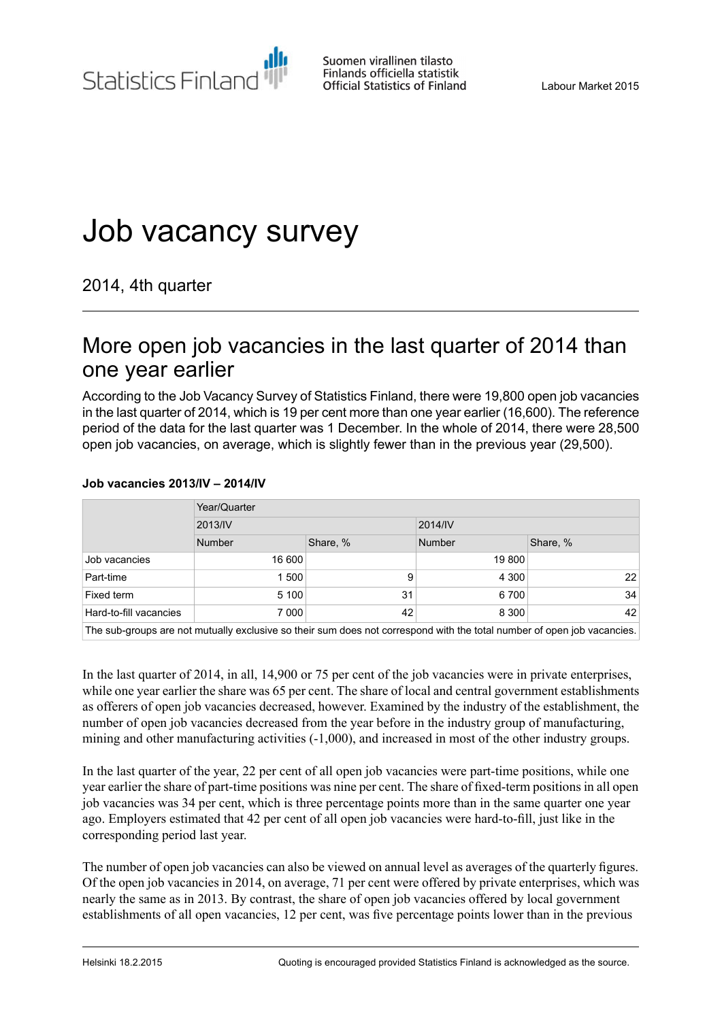Statistics Finland

Suomen virallinen tilasto Finlands officiella statistik **Official Statistics of Finland** 

# Job vacancy survey

2014, 4th quarter

### More open job vacancies in the last quarter of 2014 than one year earlier

According to the Job Vacancy Survey of Statistics Finland, there were 19,800 open job vacancies in the last quarter of 2014, which is 19 per cent more than one year earlier (16,600). The reference period of the data for the last quarter was 1 December. In the whole of 2014, there were 28,500 open job vacancies, on average, which is slightly fewer than in the previous year (29,500).

#### **Job vacancies 2013/IV – 2014/IV**

|                        | Year/Quarter                                                                                                              |          |         |          |  |  |
|------------------------|---------------------------------------------------------------------------------------------------------------------------|----------|---------|----------|--|--|
|                        | 2013/IV                                                                                                                   |          | 2014/IV |          |  |  |
|                        | Number                                                                                                                    | Share, % | Number  | Share, % |  |  |
| Job vacancies          | 16 600                                                                                                                    |          | 19 800  |          |  |  |
| Part-time              | 1500                                                                                                                      | 9        | 4 3 0 0 | 22       |  |  |
| Fixed term             | 5 100                                                                                                                     | 31       | 6700    | 34       |  |  |
| Hard-to-fill vacancies | 7 000                                                                                                                     | 42       | 8 3 0 0 | 42       |  |  |
|                        | The control control of controlls and other controls and decompany and controlled the tetal conditional control television |          |         |          |  |  |

The sub-groups are not mutually exclusive so their sum does not correspond with the total number of open job vacancies.

In the last quarter of 2014, in all, 14,900 or 75 per cent of the job vacancies were in private enterprises, while one year earlier the share was 65 per cent. The share of local and central government establishments as offerers of open job vacancies decreased, however. Examined by the industry of the establishment, the number of open job vacancies decreased from the year before in the industry group of manufacturing, mining and other manufacturing activities (-1,000), and increased in most of the other industry groups.

In the last quarter of the year, 22 per cent of all open job vacancies were part-time positions, while one year earlier the share of part-time positions was nine per cent. The share of fixed-term positions in all open job vacancies was 34 per cent, which is three percentage points more than in the same quarter one year ago. Employers estimated that 42 per cent of all open job vacancies were hard-to-fill, just like in the corresponding period last year.

The number of open job vacancies can also be viewed on annual level as averages of the quarterly figures. Of the open job vacancies in 2014, on average, 71 per cent were offered by private enterprises, which was nearly the same as in 2013. By contrast, the share of open job vacancies offered by local government establishments of all open vacancies, 12 per cent, was five percentage points lower than in the previous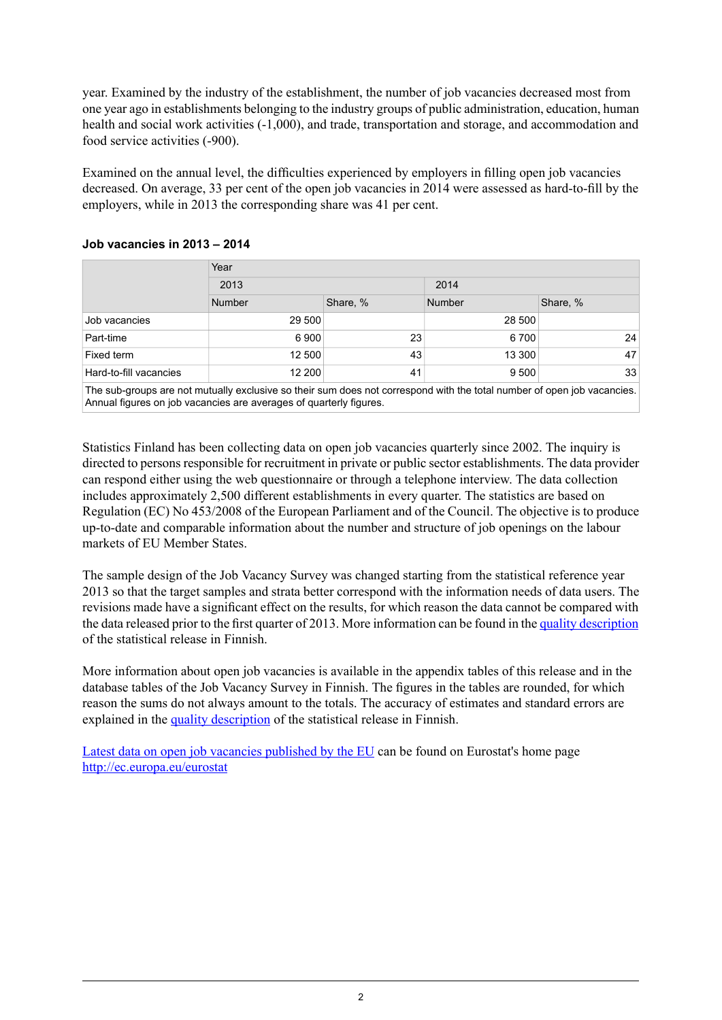year. Examined by the industry of the establishment, the number of job vacancies decreased most from one year ago in establishments belonging to the industry groups of public administration, education, human health and social work activities (-1,000), and trade, transportation and storage, and accommodation and food service activities (-900).

Examined on the annual level, the difficulties experienced by employers in filling open job vacancies decreased. On average, 33 per cent of the open job vacancies in 2014 were assessed as hard-to-fill by the employers, while in 2013 the corresponding share was 41 per cent.

|                        | Year   |                                       |               |          |
|------------------------|--------|---------------------------------------|---------------|----------|
|                        | 2013   |                                       | 2014          |          |
|                        | Number | Share, %                              | <b>Number</b> | Share, % |
| Job vacancies          | 29 500 |                                       | 28 500        |          |
| Part-time              | 6 900  | 23                                    | 6 700         | 24       |
| Fixed term             | 12 500 | 43                                    | 13 300        | 47       |
| Hard-to-fill vacancies | 12 200 | 41                                    | 9 500         | 33       |
| $-1$ $-1$              | .      | $\sim$ $\sim$ $\sim$<br>$\sim$ $\sim$ |               | . .      |

#### **Job vacancies in 2013 – 2014**

The sub-groups are not mutually exclusive so their sum does not correspond with the total number of open job vacancies. Annual figures on job vacancies are averages of quarterly figures.

Statistics Finland has been collecting data on open job vacancies quarterly since 2002. The inquiry is directed to persons responsible for recruitment in private or public sector establishments. The data provider can respond either using the web questionnaire or through a telephone interview. The data collection includes approximately 2,500 different establishments in every quarter. The statistics are based on Regulation (EC) No 453/2008 of the European Parliament and of the Council. The objective is to produce up-to-date and comparable information about the number and structure of job openings on the labour markets of EU Member States.

The sample design of the Job Vacancy Survey was changed starting from the statistical reference year 2013 so that the target samples and strata better correspond with the information needs of data users. The revisions made have a significant effect on the results, for which reason the data cannot be compared with the data released prior to the first quarter of 2013. More information can be found in the quality [description](http://tilastokeskus.fi/til/atp/2014/04/atp_2014_04_2015-02-18_laa_001_fi.html#6.Tilastojenvertailukelpoisuus) of the statistical release in Finnish.

More information about open job vacancies is available in the appendix tables of this release and in the database tables of the Job Vacancy Survey in Finnish. The figures in the tables are rounded, for which reason the sums do not always amount to the totals. The accuracy of estimates and standard errors are explained in the quality [description](http://tilastokeskus.fi/til/atp/2014/04/atp_2014_04_2015-02-18_laa_001_fi.html#3.Tietojenoikeellisuusjatarkkuus) of the statistical release in Finnish.

Latest data on open job vacancies [published](http://ec.europa.eu/eurostat/documents/2995521/6393270/3-18122014-AP-EN.pdf/3d9b9d3e-a53d-4414-863c-b9608087d436) by the EU can be found on Eurostat's home page <http://ec.europa.eu/eurostat>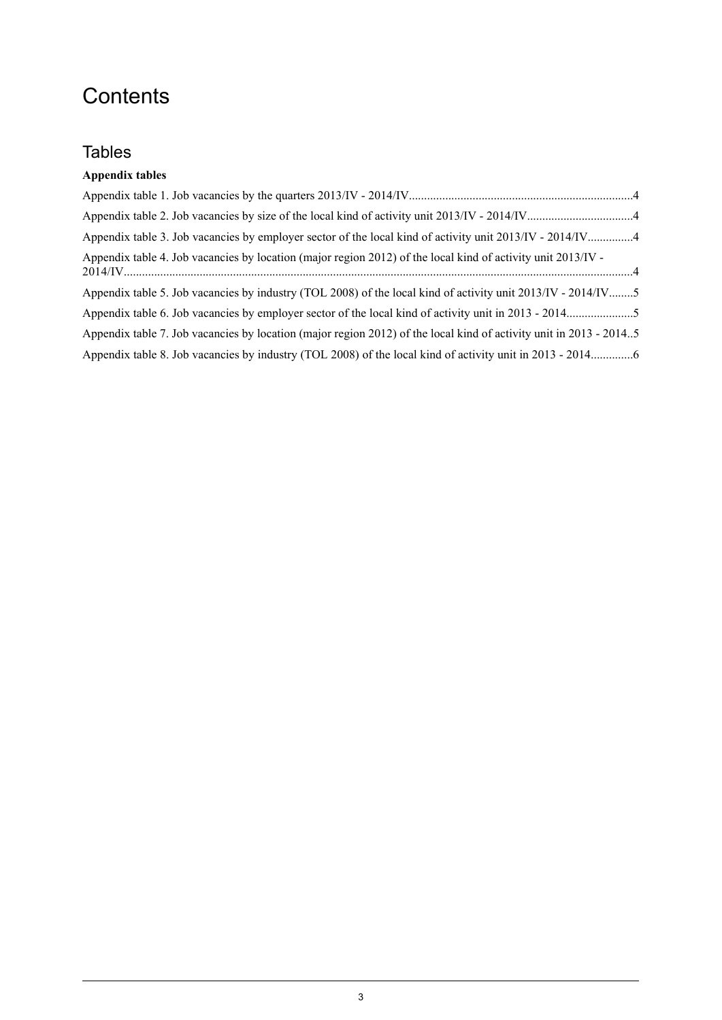# **Contents**

### **Tables**

### **Appendix tables**

| Appendix table 3. Job vacancies by employer sector of the local kind of activity unit 2013/IV - 2014/IV4           |  |
|--------------------------------------------------------------------------------------------------------------------|--|
| Appendix table 4. Job vacancies by location (major region 2012) of the local kind of activity unit 2013/IV -       |  |
| Appendix table 5. Job vacancies by industry (TOL 2008) of the local kind of activity unit 2013/IV - 2014/IV5       |  |
|                                                                                                                    |  |
| Appendix table 7. Job vacancies by location (major region 2012) of the local kind of activity unit in 2013 - 20145 |  |
|                                                                                                                    |  |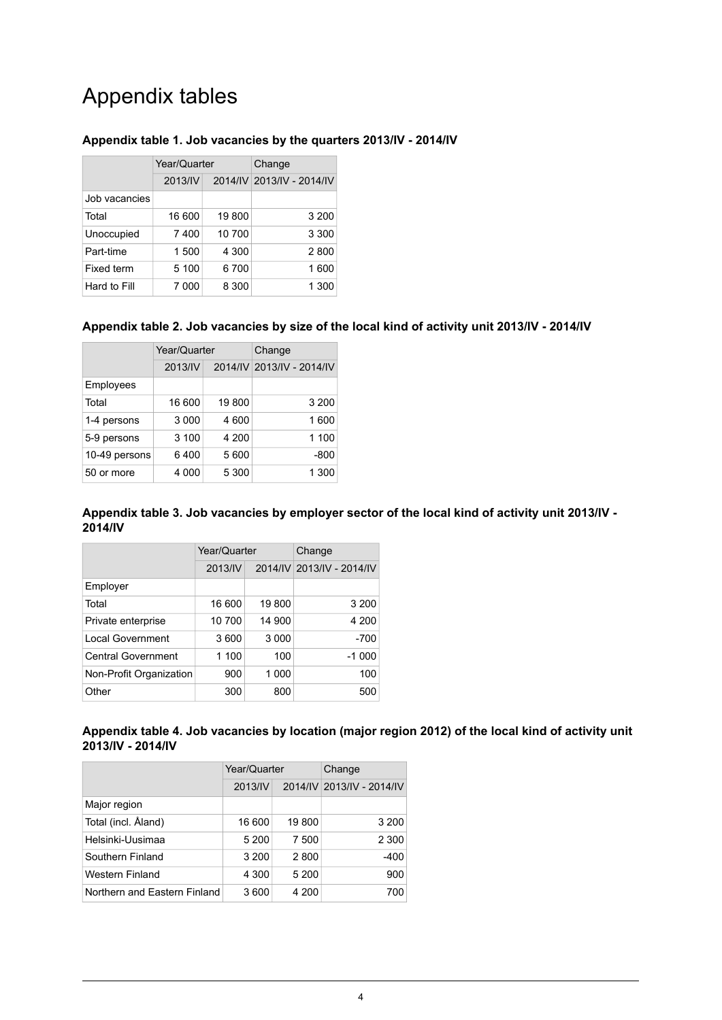## Appendix tables

#### <span id="page-3-0"></span>**Appendix table 1. Job vacancies by the quarters 2013/IV - 2014/IV**

|               | Year/Quarter |        | Change                    |  |
|---------------|--------------|--------|---------------------------|--|
|               | 2013/IV      |        | 2014/IV 2013/IV - 2014/IV |  |
| Job vacancies |              |        |                           |  |
| Total         | 16 600       | 19800  | 3 200                     |  |
| Unoccupied    | 7400         | 10 700 | 3 3 0 0                   |  |
| Part-time     | 1 500        | 4 300  | 2800                      |  |
| Fixed term    | 5 100        | 6700   | 1600                      |  |
| Hard to Fill  | 7 000        | 8 300  | 1 300                     |  |

#### <span id="page-3-1"></span>**Appendix table 2. Job vacancies by size of the local kind of activity unit 2013/IV - 2014/IV**

|               | Year/Quarter |       | Change                    |  |
|---------------|--------------|-------|---------------------------|--|
|               | 2013/IV      |       | 2014/IV 2013/IV - 2014/IV |  |
| Employees     |              |       |                           |  |
| Total         | 16 600       | 19800 | 3 200                     |  |
| 1-4 persons   | 3 0 0 0      | 4 600 | 1600                      |  |
| 5-9 persons   | 3 100        | 4 200 | 1 100                     |  |
| 10-49 persons | 6400         | 5 600 | $-800$                    |  |
| 50 or more    | 4 000        | 5 300 | 1 300                     |  |

#### <span id="page-3-2"></span>**Appendix table 3. Job vacancies by employer sector of the local kind of activity unit 2013/IV - 2014/IV**

|                           | Year/Quarter |         | Change                    |  |  |
|---------------------------|--------------|---------|---------------------------|--|--|
|                           | 2013/IV      |         | 2014/IV 2013/IV - 2014/IV |  |  |
| Employer                  |              |         |                           |  |  |
| Total                     | 16 600       | 19800   | 3 2 0 0                   |  |  |
| Private enterprise        | 10 700       | 14 900  | 4 200                     |  |  |
| <b>Local Government</b>   | 3600         | 3 0 0 0 | $-700$                    |  |  |
| <b>Central Government</b> | 1 100        | 100     | $-1000$                   |  |  |
| Non-Profit Organization   | 900          | 1 000   | 100                       |  |  |
| Other                     | 300          | 800     | 500                       |  |  |

#### <span id="page-3-3"></span>**Appendix table 4. Job vacancies by location (major region 2012) of the local kind of activity unit 2013/IV - 2014/IV**

|                              | Year/Quarter |       | Change                    |  |  |
|------------------------------|--------------|-------|---------------------------|--|--|
|                              | 2013/IV      |       | 2014/IV 2013/IV - 2014/IV |  |  |
| Major region                 |              |       |                           |  |  |
| Total (incl. Åland)          | 16 600       | 19800 | 3 200                     |  |  |
| Helsinki-Uusimaa             | 5 200        | 7 500 | 2 3 0 0                   |  |  |
| Southern Finland             | 3 200        | 2800  | $-400$                    |  |  |
| <b>Western Finland</b>       | 4 300        | 5 200 | 900                       |  |  |
| Northern and Eastern Finland | 3 600        | 4 200 | 700                       |  |  |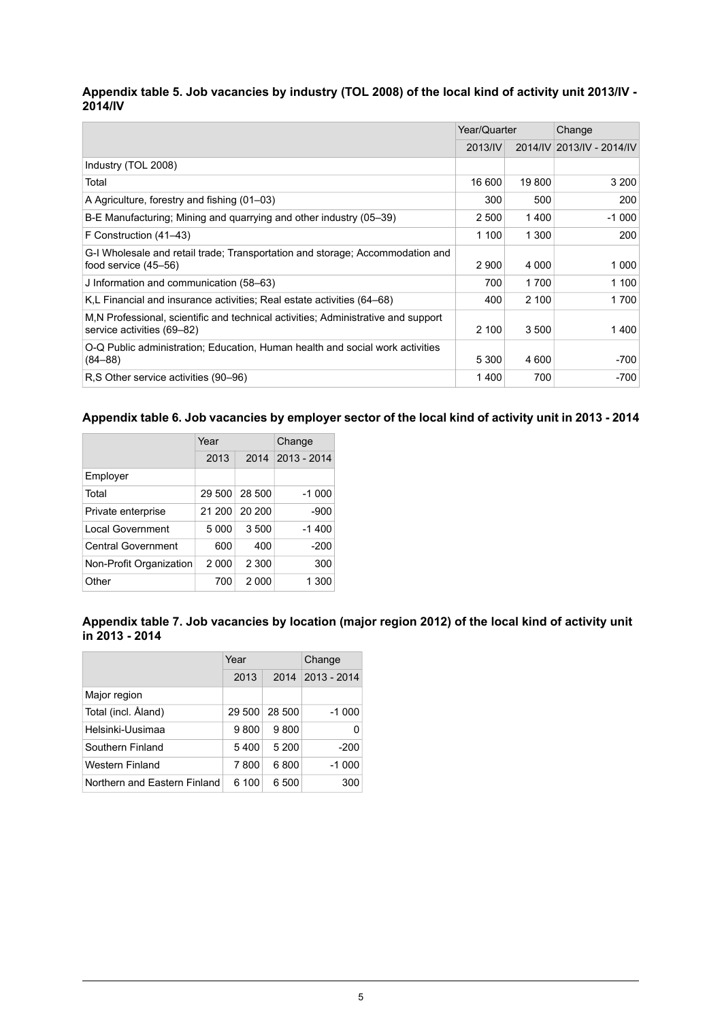#### <span id="page-4-0"></span>Appendix table 5. Job vacancies by industry (TOL 2008) of the local kind of activity unit 2013/IV -**2014/IV**

|                                                                                                                 | Year/Quarter |         | Change                    |  |
|-----------------------------------------------------------------------------------------------------------------|--------------|---------|---------------------------|--|
|                                                                                                                 | 2013/IV      |         | 2014/IV 2013/IV - 2014/IV |  |
| Industry (TOL 2008)                                                                                             |              |         |                           |  |
| Total                                                                                                           | 16 600       | 19800   | 3 200                     |  |
| A Agriculture, forestry and fishing (01–03)                                                                     | 300          | 500     | 200                       |  |
| B-E Manufacturing; Mining and quarrying and other industry (05–39)                                              | 2 500        | 1400    | $-1000$                   |  |
| F Construction (41–43)                                                                                          | 1 100        | 1 300   | 200                       |  |
| G-I Wholesale and retail trade; Transportation and storage; Accommodation and<br>food service $(45-56)$         | 2 9 0 0      | 4 0 0 0 | 1 0 0 0                   |  |
| J Information and communication (58–63)                                                                         | 700          | 1700    | 1 100                     |  |
| K,L Financial and insurance activities; Real estate activities (64–68)                                          | 400          | 2 100   | 1700                      |  |
| M.N Professional, scientific and technical activities; Administrative and support<br>service activities (69–82) | 2 100        | 3 500   | 1400                      |  |
| O-Q Public administration; Education, Human health and social work activities<br>$(84 - 88)$                    | 5 3 0 0      | 4 600   | -700                      |  |
| R.S Other service activities (90–96)                                                                            | 1400         | 700     | -700                      |  |

#### <span id="page-4-1"></span>Appendix table 6. Job vacancies by employer sector of the local kind of activity unit in 2013 - 2014

|                           | Year    |         | Change      |  |
|---------------------------|---------|---------|-------------|--|
|                           | 2013    | 2014    | 2013 - 2014 |  |
| Employer                  |         |         |             |  |
| Total                     | 29 500  | 28 500  | $-1000$     |  |
| Private enterprise        | 21 200  | 20 200  | -900        |  |
| Local Government          | 5 0 0 0 | 3500    | $-1400$     |  |
| <b>Central Government</b> | 600     | 400     | $-200$      |  |
| Non-Profit Organization   | 2 0 0 0 | 2 3 0 0 | 300         |  |
| Other                     | 700     | 2 0 0 0 | 1 300       |  |

<span id="page-4-2"></span>

|                | Appendix table 7. Job vacancies by location (major region 2012) of the local kind of activity unit |  |  |  |
|----------------|----------------------------------------------------------------------------------------------------|--|--|--|
| in 2013 - 2014 |                                                                                                    |  |  |  |

|                              | Year   |        | Change      |  |
|------------------------------|--------|--------|-------------|--|
|                              | 2013   | 2014   | 2013 - 2014 |  |
| Major region                 |        |        |             |  |
| Total (incl. Åland)          | 29 500 | 28 500 | $-1000$     |  |
| Helsinki-Uusimaa             | 9800   | 9800   | O           |  |
| Southern Finland             | 5400   | 5 200  | $-200$      |  |
| Western Finland              | 7800   | 6800   | $-1000$     |  |
| Northern and Eastern Finland | 6 100  | 6 500  | 300         |  |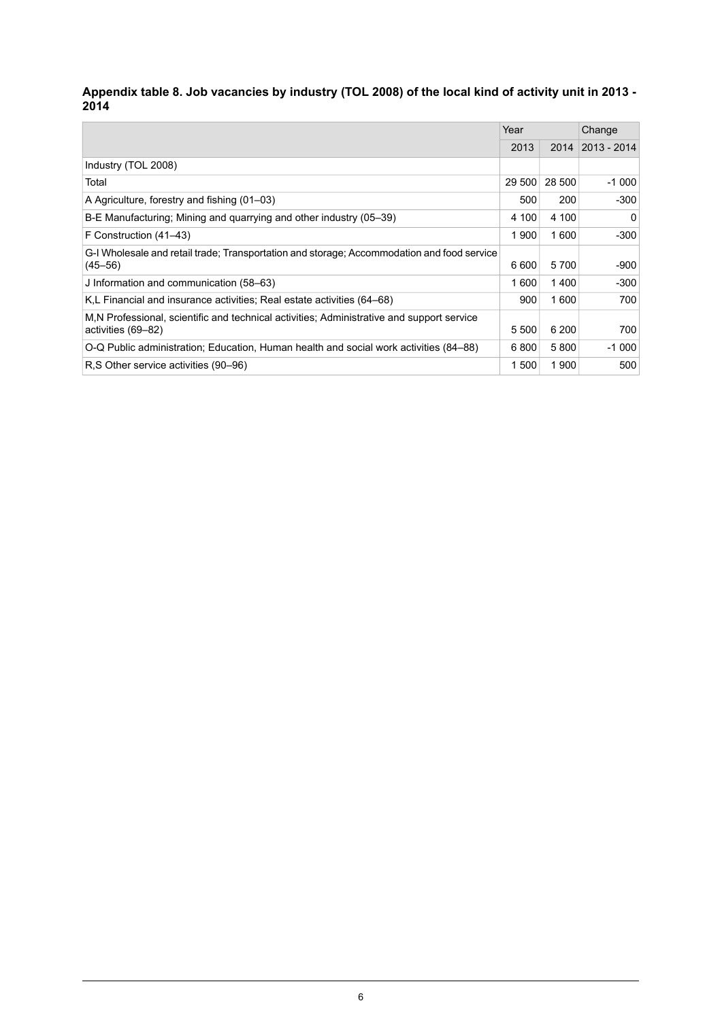#### <span id="page-5-0"></span>- Appendix table 8. Job vacancies by industry (TOL 2008) of the local kind of activity unit in 2013 **2014**

|                                                                                                                 | Year   |        | Change          |
|-----------------------------------------------------------------------------------------------------------------|--------|--------|-----------------|
|                                                                                                                 | 2013   | 2014   | $ 2013 - 2014 $ |
| Industry (TOL 2008)                                                                                             |        |        |                 |
| Total                                                                                                           | 29 500 | 28 500 | $-1000$         |
| A Agriculture, forestry and fishing (01–03)                                                                     | 500    | 200    | -300            |
| B-E Manufacturing; Mining and quarrying and other industry (05–39)                                              | 4 100  | 4 100  | $\Omega$        |
| F Construction (41–43)                                                                                          | 1900   | 1600   | $-300$          |
| G-I Wholesale and retail trade; Transportation and storage; Accommodation and food service<br>$(45 - 56)$       | 6 600  | 5700   | -900            |
| J Information and communication (58–63)                                                                         | 1 600  | 1400   | $-300$          |
| K,L Financial and insurance activities; Real estate activities (64–68)                                          | 900    | 1600   | 700             |
| M.N Professional, scientific and technical activities; Administrative and support service<br>activities (69–82) | 5 500  | 6 200  | 700             |
| O-Q Public administration; Education, Human health and social work activities (84–88)                           | 6800   | 5800   | $-1000$         |
| R.S Other service activities (90–96)                                                                            | 1 500  | 1900   | 500             |